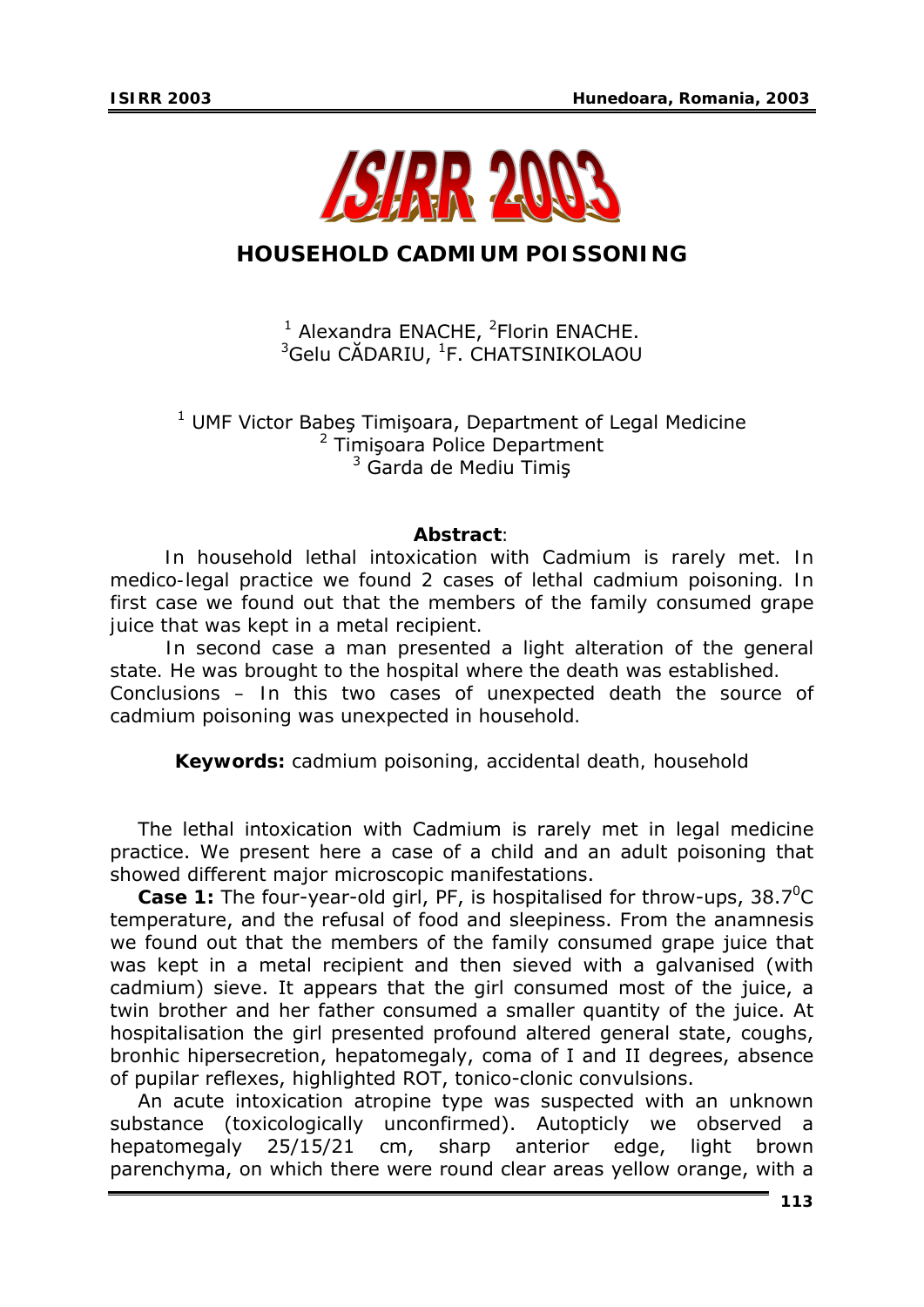

## **HOUSEHOLD CADMIUM POISSONING**

 $1$  Alexandra ENACHE,  $2$ Florin ENACHE.  $3$ Gelu CĂDARIU,  $1$ F. CHATSINIKOLAOU

<sup>1</sup> UMF Victor Babeş Timişoara, Department of Legal Medicine <sup>2</sup> Timişoara Police Department <sup>3</sup> Garda de Mediu Timiş

## *Abstract:*

*In household lethal intoxication with Cadmium is rarely met. In medico-legal practice we found 2 cases of lethal cadmium poisoning. In first case we found out that the members of the family consumed grape juice that was kept in a metal recipient.* 

*In second case a man presented a light alteration of the general state. He was brought to the hospital where the death was established. Conclusions – In this two cases of unexpected death the source of cadmium poisoning was unexpected in household.* 

*Keywords: cadmium poisoning, accidental death, household*

The lethal intoxication with Cadmium is rarely met in legal medicine practice. We present here a case of a child and an adult poisoning that showed different major microscopic manifestations.

Case 1: The four-year-old girl, PF, is hospitalised for throw-ups, 38.7<sup>o</sup>C temperature, and the refusal of food and sleepiness. From the anamnesis we found out that the members of the family consumed grape juice that was kept in a metal recipient and then sieved with a galvanised (with cadmium) sieve. It appears that the girl consumed most of the juice, a twin brother and her father consumed a smaller quantity of the juice. At hospitalisation the girl presented profound altered general state, coughs, bronhic hipersecretion, hepatomegaly, coma of I and II degrees, absence of pupilar reflexes, highlighted ROT, tonico-clonic convulsions.

An acute intoxication atropine type was suspected with an unknown substance (toxicologically unconfirmed). Autopticly we observed a hepatomegaly 25/15/21 cm, sharp anterior edge, light brown parenchyma, on which there were round clear areas yellow orange, with a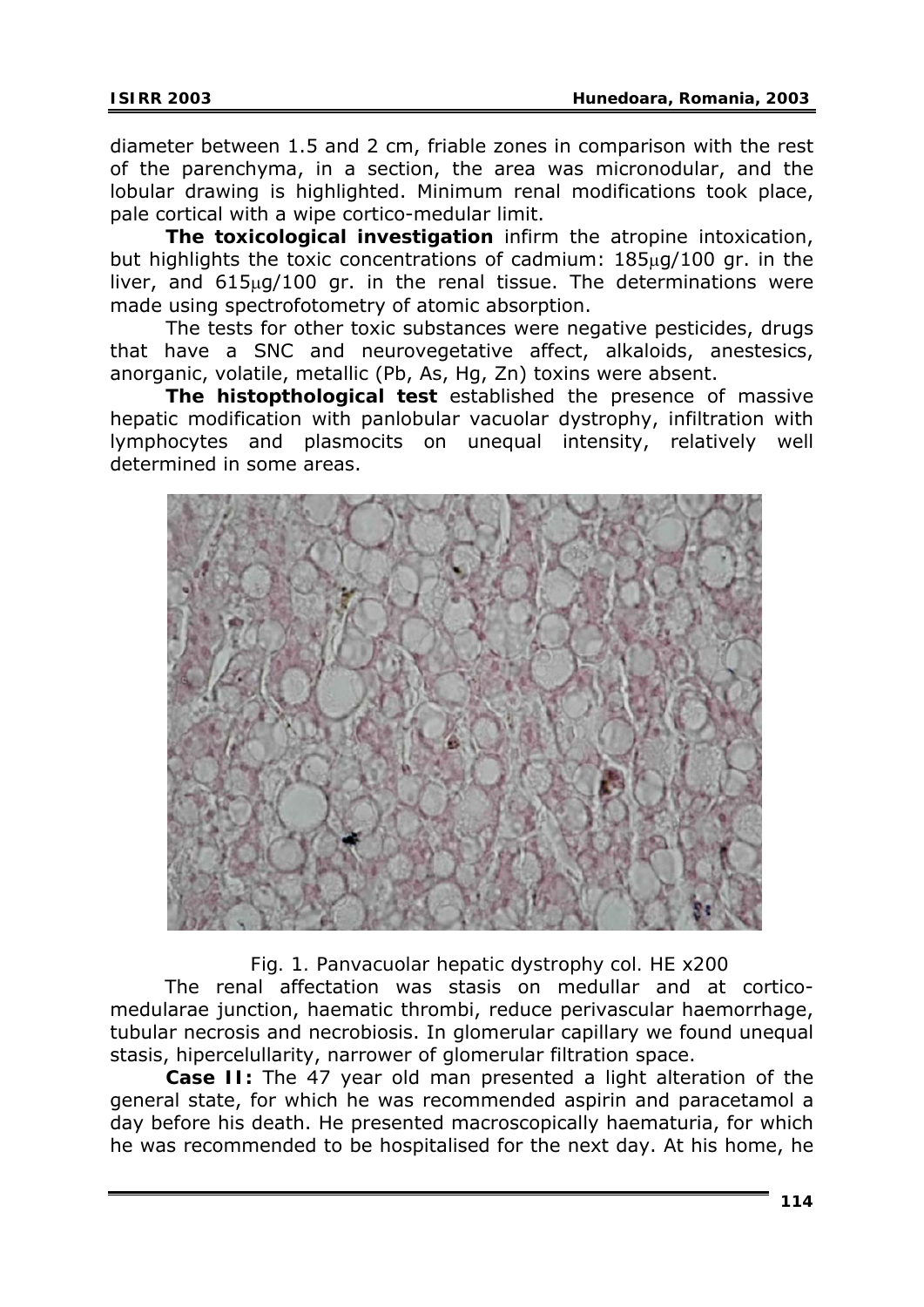diameter between 1.5 and 2 cm, friable zones in comparison with the rest of the parenchyma, in a section, the area was micronodular, and the lobular drawing is highlighted. Minimum renal modifications took place, pale cortical with a wipe cortico-medular limit.

**The toxicological investigation** infirm the atropine intoxication, but highlights the toxic concentrations of cadmium: 185μg/100 gr. in the liver, and 615μg/100 gr. in the renal tissue. The determinations were made using spectrofotometry of atomic absorption.

The tests for other toxic substances were negative pesticides, drugs that have a SNC and neurovegetative affect, alkaloids, anestesics, anorganic, volatile, metallic (Pb, As, Hg, Zn) toxins were absent.

**The histopthological test** established the presence of massive hepatic modification with panlobular vacuolar dystrophy, infiltration with lymphocytes and plasmocits on unequal intensity, relatively well determined in some areas.



## *Fig. 1. Panvacuolar hepatic dystrophy col. HE x200*

The renal affectation was stasis on medullar and at corticomedularae junction, haematic thrombi, reduce perivascular haemorrhage, tubular necrosis and necrobiosis. In glomerular capillary we found unequal stasis, hipercelullarity, narrower of glomerular filtration space.

**Case II:** The 47 year old man presented a light alteration of the general state, for which he was recommended aspirin and paracetamol a day before his death. He presented macroscopically haematuria, for which he was recommended to be hospitalised for the next day. At his home, he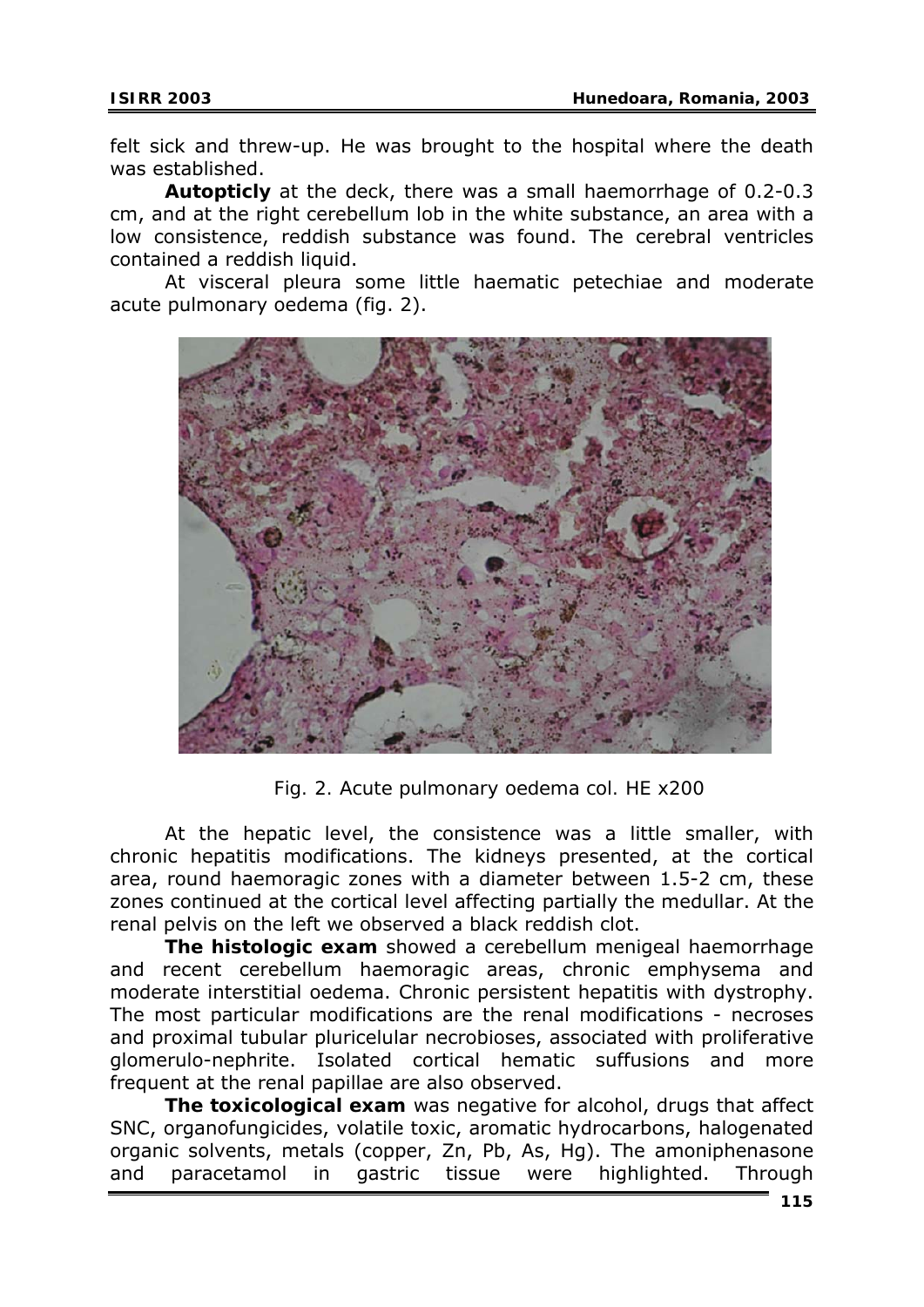felt sick and threw-up. He was brought to the hospital where the death was established.

**Autopticly** at the deck, there was a small haemorrhage of 0.2-0.3 cm, and at the right cerebellum lob in the white substance, an area with a low consistence, reddish substance was found. The cerebral ventricles contained a reddish liquid.

At visceral pleura some little haematic petechiae and moderate acute pulmonary oedema (fig. 2).



*Fig. 2. Acute pulmonary oedema col. HE x200* 

zones continued at the cortical level affecting partially the medullar. At the renal pelvis on the left we observed a black reddish clot. At the hepatic level, the consistence was a little smaller, with chronic hepatitis modifications. The kidneys presented, at the cortical area, round haemoragic zones with a diameter between 1.5-2 cm, these

glomerulo-nephrite. Isolated cortical hematic suffusions and more freque nt at the renal papillae are also observed. **The histologic exam** showed a cerebellum menigeal haemorrhage and recent cerebellum haemoragic areas, chronic emphysema and moderate interstitial oedema. Chronic persistent hepatitis with dystrophy. The most particular modifications are the renal modifications - necroses and proximal tubular pluricelular necrobioses, associated with proliferative

and paracetamol in gastric tissue were highlighted. Through **The toxicological exam** was negative for alcohol, drugs that affect SNC, organofungicides, volatile toxic, aromatic hydrocarbons, halogenated organic solvents, metals (copper, Zn, Pb, As, Hg). The amoniphenasone